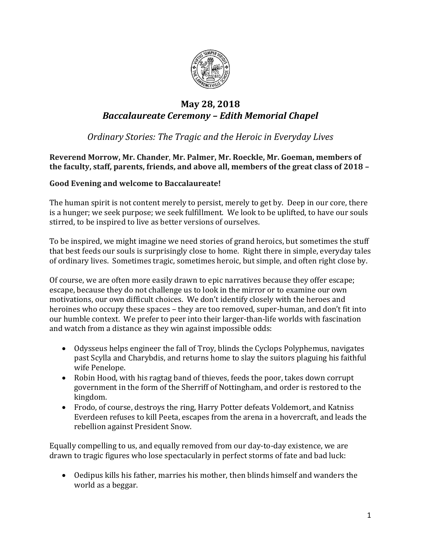

## **May 28, 2018** *Baccalaureate Ceremony – Edith Memorial Chapel*

# *Ordinary Stories: The Tragic and the Heroic in Everyday Lives*

#### **Reverend Morrow, Mr. Chander**, **Mr. Palmer, Mr. Roeckle, Mr. Goeman, members of the faculty, staff, parents, friends, and above all, members of the great class of 2018 –**

### **Good Evening and welcome to Baccalaureate!**

The human spirit is not content merely to persist, merely to get by. Deep in our core, there is a hunger; we seek purpose; we seek fulfillment. We look to be uplifted, to have our souls stirred, to be inspired to live as better versions of ourselves.

To be inspired, we might imagine we need stories of grand heroics, but sometimes the stuff that best feeds our souls is surprisingly close to home. Right there in simple, everyday tales of ordinary lives. Sometimes tragic, sometimes heroic, but simple, and often right close by.

Of course, we are often more easily drawn to epic narratives because they offer escape; escape, because they do not challenge us to look in the mirror or to examine our own motivations, our own difficult choices. We don't identify closely with the heroes and heroines who occupy these spaces – they are too removed, super-human, and don't fit into our humble context. We prefer to peer into their larger-than-life worlds with fascination and watch from a distance as they win against impossible odds:

- Odysseus helps engineer the fall of Troy, blinds the Cyclops Polyphemus, navigates past Scylla and Charybdis, and returns home to slay the suitors plaguing his faithful wife Penelope.
- Robin Hood, with his ragtag band of thieves, feeds the poor, takes down corrupt government in the form of the Sherriff of Nottingham, and order is restored to the kingdom.
- Frodo, of course, destroys the ring, Harry Potter defeats Voldemort, and Katniss Everdeen refuses to kill Peeta, escapes from the arena in a hovercraft, and leads the rebellion against President Snow.

Equally compelling to us, and equally removed from our day-to-day existence, we are drawn to tragic figures who lose spectacularly in perfect storms of fate and bad luck:

 Oedipus kills his father, marries his mother, then blinds himself and wanders the world as a beggar.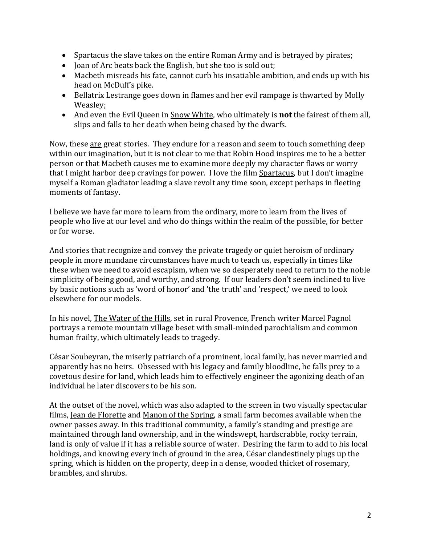- Spartacus the slave takes on the entire Roman Army and is betrayed by pirates;
- Joan of Arc beats back the English, but she too is sold out;
- Macbeth misreads his fate, cannot curb his insatiable ambition, and ends up with his head on McDuff's pike.
- Bellatrix Lestrange goes down in flames and her evil rampage is thwarted by Molly Weasley;
- And even the Evil Queen in Snow White, who ultimately is **not** the fairest of them all, slips and falls to her death when being chased by the dwarfs.

Now, these are great stories. They endure for a reason and seem to touch something deep within our imagination, but it is not clear to me that Robin Hood inspires me to be a better person or that Macbeth causes me to examine more deeply my character flaws or worry that I might harbor deep cravings for power. I love the film Spartacus, but I don't imagine myself a Roman gladiator leading a slave revolt any time soon, except perhaps in fleeting moments of fantasy.

I believe we have far more to learn from the ordinary, more to learn from the lives of people who live at our level and who do things within the realm of the possible, for better or for worse.

And stories that recognize and convey the private tragedy or quiet heroism of ordinary people in more mundane circumstances have much to teach us, especially in times like these when we need to avoid escapism, when we so desperately need to return to the noble simplicity of being good, and worthy, and strong. If our leaders don't seem inclined to live by basic notions such as 'word of honor' and 'the truth' and 'respect,' we need to look elsewhere for our models.

In his novel, The Water of the Hills, set in rural Provence, French writer Marcel Pagnol portrays a remote mountain village beset with small-minded parochialism and common human frailty, which ultimately leads to tragedy.

César Soubeyran, the miserly patriarch of a prominent, local family, has never married and apparently has no heirs. Obsessed with his legacy and family bloodline, he falls prey to a covetous desire for land, which leads him to effectively engineer the agonizing death of an individual he later discovers to be his son.

At the outset of the novel, which was also adapted to the screen in two visually spectacular films, <u>Jean de Florette</u> and Manon of the Spring, a small farm becomes available when the owner passes away. In this traditional community, a family's standing and prestige are maintained through land ownership, and in the windswept, hardscrabble, rocky terrain, land is only of value if it has a reliable source of water. Desiring the farm to add to his local holdings, and knowing every inch of ground in the area, César clandestinely plugs up the spring, which is hidden on the property, deep in a dense, wooded thicket of rosemary, brambles, and shrubs.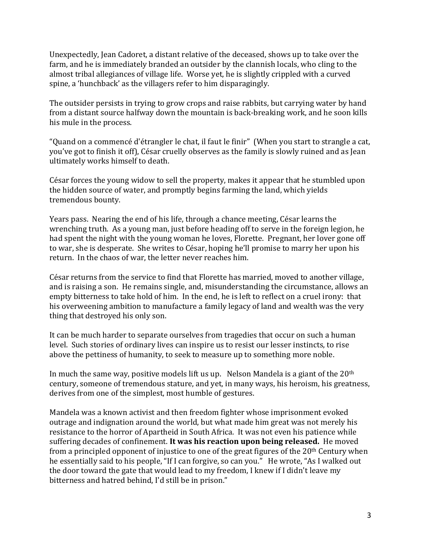Unexpectedly, Jean Cadoret, a distant relative of the deceased, shows up to take over the farm, and he is immediately branded an outsider by the clannish locals, who cling to the almost tribal allegiances of village life. Worse yet, he is slightly crippled with a curved spine, a 'hunchback' as the villagers refer to him disparagingly.

The outsider persists in trying to grow crops and raise rabbits, but carrying water by hand from a distant source halfway down the mountain is back-breaking work, and he soon kills his mule in the process.

"Quand on a commencé d'étrangler le chat, il faut le finir" (When you start to strangle a cat, you've got to finish it off), César cruelly observes as the family is slowly ruined and as Jean ultimately works himself to death.

César forces the young widow to sell the property, makes it appear that he stumbled upon the hidden source of water, and promptly begins farming the land, which yields tremendous bounty.

Years pass. Nearing the end of his life, through a chance meeting, César learns the wrenching truth. As a young man, just before heading off to serve in the foreign legion, he had spent the night with the young woman he loves, Florette. Pregnant, her lover gone off to war, she is desperate. She writes to César, hoping he'll promise to marry her upon his return. In the chaos of war, the letter never reaches him.

César returns from the service to find that Florette has married, moved to another village, and is raising a son. He remains single, and, misunderstanding the circumstance, allows an empty bitterness to take hold of him. In the end, he is left to reflect on a cruel irony: that his overweening ambition to manufacture a family legacy of land and wealth was the very thing that destroyed his only son.

It can be much harder to separate ourselves from tragedies that occur on such a human level. Such stories of ordinary lives can inspire us to resist our lesser instincts, to rise above the pettiness of humanity, to seek to measure up to something more noble.

In much the same way, positive models lift us up. Nelson Mandela is a giant of the  $20<sup>th</sup>$ century, someone of tremendous stature, and yet, in many ways, his heroism, his greatness, derives from one of the simplest, most humble of gestures.

Mandela was a known activist and then freedom fighter whose imprisonment evoked outrage and indignation around the world, but what made him great was not merely his resistance to the horror of Apartheid in South Africa. It was not even his patience while suffering decades of confinement. **It was his reaction upon being released.** He moved from a principled opponent of injustice to one of the great figures of the 20<sup>th</sup> Century when he essentially said to his people, "If I can forgive, so can you." He wrote, "As I walked out the door toward the gate that would lead to my freedom, I knew if I didn't leave my bitterness and hatred behind, I'd still be in prison."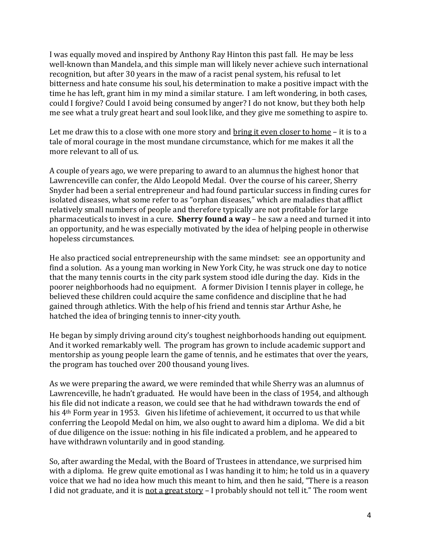I was equally moved and inspired by Anthony Ray Hinton this past fall. He may be less well-known than Mandela, and this simple man will likely never achieve such international recognition, but after 30 years in the maw of a racist penal system, his refusal to let bitterness and hate consume his soul, his determination to make a positive impact with the time he has left, grant him in my mind a similar stature. I am left wondering, in both cases, could I forgive? Could I avoid being consumed by anger? I do not know, but they both help me see what a truly great heart and soul look like, and they give me something to aspire to.

Let me draw this to a close with one more story and bring it even closer to home – it is to a tale of moral courage in the most mundane circumstance, which for me makes it all the more relevant to all of us.

A couple of years ago, we were preparing to award to an alumnus the highest honor that Lawrenceville can confer, the Aldo Leopold Medal. Over the course of his career, Sherry Snyder had been a serial entrepreneur and had found particular success in finding cures for isolated diseases, what some refer to as "orphan diseases," which are maladies that afflict relatively small numbers of people and therefore typically are not profitable for large pharmaceuticals to invest in a cure. **Sherry found a way** – he saw a need and turned it into an opportunity, and he was especially motivated by the idea of helping people in otherwise hopeless circumstances.

He also practiced social entrepreneurship with the same mindset: see an opportunity and find a solution. As a young man working in New York City, he was struck one day to notice that the many tennis courts in the city park system stood idle during the day. Kids in the poorer neighborhoods had no equipment. A former Division I tennis player in college, he believed these children could acquire the same confidence and discipline that he had gained through athletics. With the help of his friend and tennis star Arthur Ashe, he hatched the idea of bringing tennis to inner-city youth.

He began by simply driving around city's toughest neighborhoods handing out equipment. And it worked remarkably well. The program has grown to include academic support and mentorship as young people learn the game of tennis, and he estimates that over the years, the program has touched over 200 thousand young lives.

As we were preparing the award, we were reminded that while Sherry was an alumnus of Lawrenceville, he hadn't graduated. He would have been in the class of 1954, and although his file did not indicate a reason, we could see that he had withdrawn towards the end of his 4th Form year in 1953. Given his lifetime of achievement, it occurred to us that while conferring the Leopold Medal on him, we also ought to award him a diploma. We did a bit of due diligence on the issue: nothing in his file indicated a problem, and he appeared to have withdrawn voluntarily and in good standing.

So, after awarding the Medal, with the Board of Trustees in attendance, we surprised him with a diploma. He grew quite emotional as I was handing it to him; he told us in a quavery voice that we had no idea how much this meant to him, and then he said, "There is a reason I did not graduate, and it is not a great story – I probably should not tell it." The room went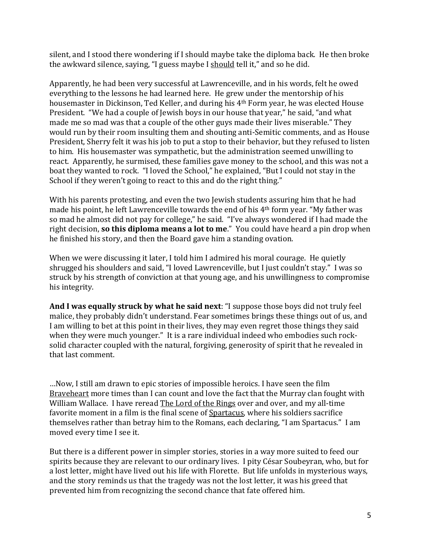silent, and I stood there wondering if I should maybe take the diploma back. He then broke the awkward silence, saying, "I guess maybe I should tell it," and so he did.

Apparently, he had been very successful at Lawrenceville, and in his words, felt he owed everything to the lessons he had learned here. He grew under the mentorship of his housemaster in Dickinson, Ted Keller, and during his 4th Form year, he was elected House President. "We had a couple of Jewish boys in our house that year," he said, "and what made me so mad was that a couple of the other guys made their lives miserable." They would run by their room insulting them and shouting anti-Semitic comments, and as House President, Sherry felt it was his job to put a stop to their behavior, but they refused to listen to him. His housemaster was sympathetic, but the administration seemed unwilling to react. Apparently, he surmised, these families gave money to the school, and this was not a boat they wanted to rock. "I loved the School," he explained, "But I could not stay in the School if they weren't going to react to this and do the right thing."

With his parents protesting, and even the two Jewish students assuring him that he had made his point, he left Lawrenceville towards the end of his 4th form year. "My father was so mad he almost did not pay for college," he said. "I've always wondered if I had made the right decision, **so this diploma means a lot to me**." You could have heard a pin drop when he finished his story, and then the Board gave him a standing ovation.

When we were discussing it later, I told him I admired his moral courage. He quietly shrugged his shoulders and said, "I loved Lawrenceville, but I just couldn't stay." I was so struck by his strength of conviction at that young age, and his unwillingness to compromise his integrity.

**And I was equally struck by what he said next**: "I suppose those boys did not truly feel malice, they probably didn't understand. Fear sometimes brings these things out of us, and I am willing to bet at this point in their lives, they may even regret those things they said when they were much younger." It is a rare individual indeed who embodies such rocksolid character coupled with the natural, forgiving, generosity of spirit that he revealed in that last comment.

…Now, I still am drawn to epic stories of impossible heroics. I have seen the film Braveheart more times than I can count and love the fact that the Murray clan fought with William Wallace. I have reread The Lord of the Rings over and over, and my all-time favorite moment in a film is the final scene of Spartacus, where his soldiers sacrifice themselves rather than betray him to the Romans, each declaring, "I am Spartacus." I am moved every time I see it.

But there is a different power in simpler stories, stories in a way more suited to feed our spirits because they are relevant to our ordinary lives. I pity César Soubeyran, who, but for a lost letter, might have lived out his life with Florette. But life unfolds in mysterious ways, and the story reminds us that the tragedy was not the lost letter, it was his greed that prevented him from recognizing the second chance that fate offered him.